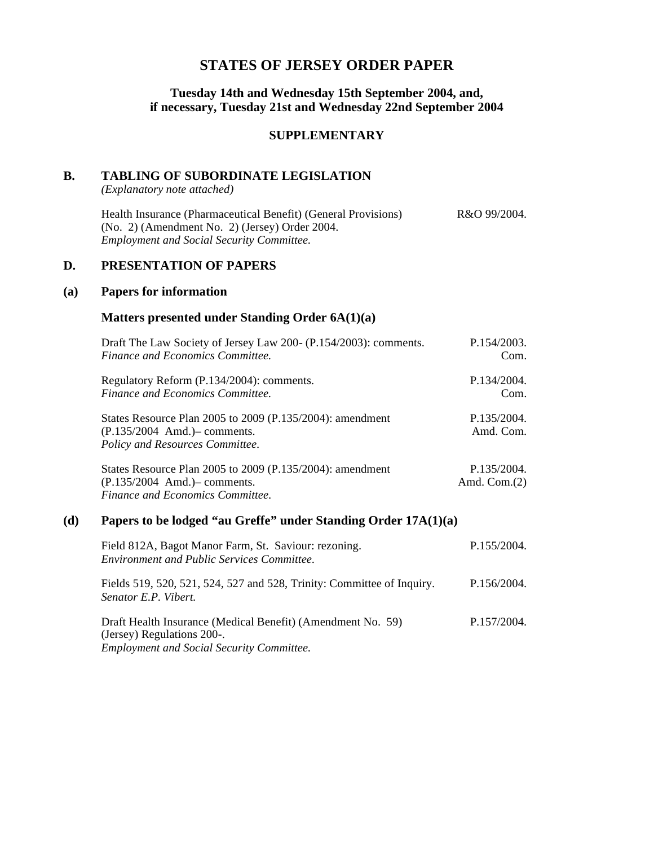# **STATES OF JERSEY ORDER PAPER**

#### **Tuesday 14th and Wednesday 15th September 2004, and, if necessary, Tuesday 21st and Wednesday 22nd September 2004**

#### **SUPPLEMENTARY**

#### **B. TABLING OF SUBORDINATE LEGISLATION**

*(Explanatory note attached)*

Health Insurance (Pharmaceutical Benefit) (General Provisions) (No. 2) (Amendment No. 2) (Jersey) Order 2004. *Employment and Social Security Committee.* R&O 99/2004.

## **D. PRESENTATION OF PAPERS**

#### **(a) Papers for information**

#### **Matters presented under Standing Order 6A(1)(a)**

| Draft The Law Society of Jersey Law 200- (P.154/2003): comments.                                                                 | P.154/2003.                   |
|----------------------------------------------------------------------------------------------------------------------------------|-------------------------------|
| Finance and Economics Committee.                                                                                                 | Com.                          |
| Regulatory Reform (P.134/2004): comments.                                                                                        | P.134/2004.                   |
| Finance and Economics Committee.                                                                                                 | Com.                          |
| States Resource Plan 2005 to 2009 (P.135/2004): amendment<br>$(P.135/2004$ Amd.) - comments.<br>Policy and Resources Committee.  | P.135/2004.<br>Amd. Com.      |
| States Resource Plan 2005 to 2009 (P.135/2004): amendment<br>$(P.135/2004$ Amd.) - comments.<br>Finance and Economics Committee. | P.135/2004.<br>Amd. $Com.(2)$ |

### **(d) Papers to be lodged "au Greffe" under Standing Order 17A(1)(a)**

| Field 812A, Bagot Manor Farm, St. Saviour: rezoning.<br><b>Environment and Public Services Committee.</b>                                     | P.155/2004. |
|-----------------------------------------------------------------------------------------------------------------------------------------------|-------------|
| Fields 519, 520, 521, 524, 527 and 528, Trinity: Committee of Inquiry.<br>Senator E.P. Vibert.                                                | P.156/2004. |
| Draft Health Insurance (Medical Benefit) (Amendment No. 59)<br>(Jersey) Regulations 200-.<br><b>Employment and Social Security Committee.</b> | P.157/2004. |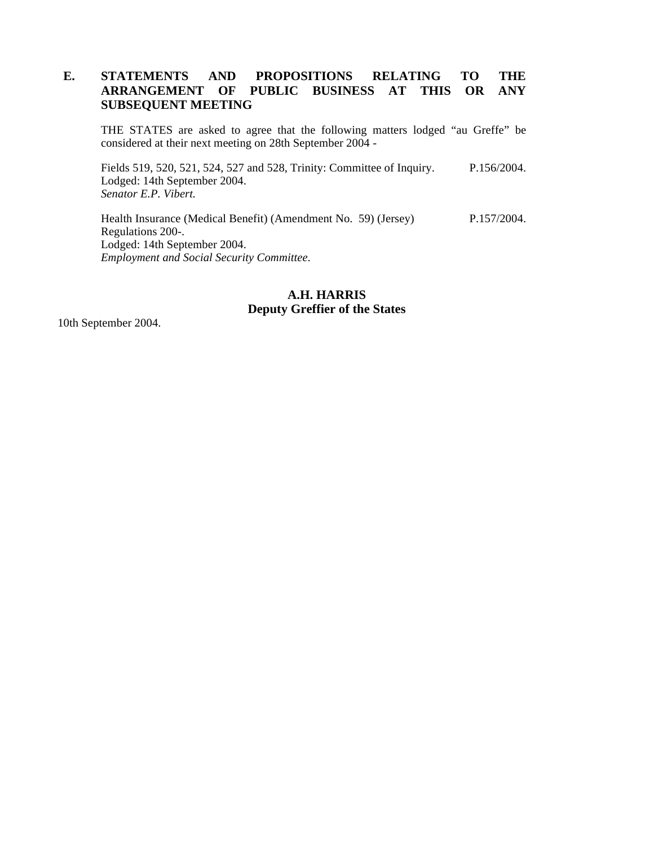### **E. STATEMENTS AND PROPOSITIONS RELATING TO THE ARRANGEMENT OF PUBLIC BUSINESS AT THIS OR ANY SUBSEQUENT MEETING**

THE STATES are asked to agree that the following matters lodged "au Greffe" be considered at their next meeting on 28th September 2004 -

Fields 519, 520, 521, 524, 527 and 528, Trinity: Committee of Inquiry. Lodged: 14th September 2004. *Senator E.P. Vibert.* P.156/2004.

Health Insurance (Medical Benefit) (Amendment No. 59) (Jersey) Regulations 200-. Lodged: 14th September 2004. *Employment and Social Security Committee.* P.157/2004.

## **A.H. HARRIS Deputy Greffier of the States**

10th September 2004.